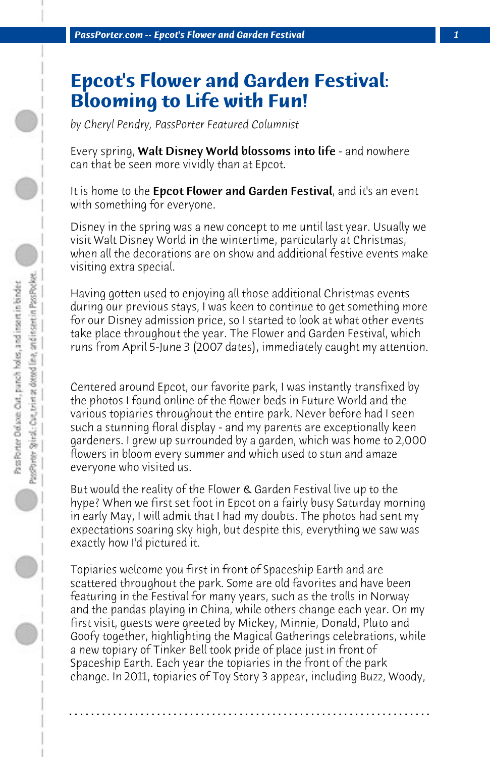## **Epcot's Flower and Garden Festival: Blooming to Life with Fun!**

*by Cheryl Pendry, PassPorter Featured Columnist*

Every spring, Walt Disney World blossoms into life - and nowhere can that be seen more vividly than at Epcot.

It is home to the **Epcot Flower and Garden Festival**, and it's an event with something for everyone.

Disney in the spring was a new concept to me until last year. Usually we visit Walt Disney World in the wintertime, particularly at Christmas, when all the decorations are on show and additional festive events make visiting extra special.

Having gotten used to enjoying all those additional Christmas events during our previous stays, I was keen to continue to get something more for our Disney admission price, so I started to look at what other events take place throughout the year. The Flower and Garden Festival, which runs from April 5-June 3 (2007 dates), immediately caught my attention.

Centered around Epcot, our favorite park, I was instantly transfixed by the photos I found online of the flower beds in Future World and the various topiaries throughout the entire park. Never before had I seen such a stunning floral display - and my parents are exceptionally keen gardeners. I grew up surrounded by a garden, which was home to 2,000 flowers in bloom every summer and which used to stun and amaze everyone who visited us.

But would the reality of the Flower & Garden Festival live up to the hype? When we first set foot in Epcot on a fairly busy Saturday morning in early May, I will admit that I had my doubts. The photos had sent my expectations soaring sky high, but despite this, everything we saw was exactly how I'd pictured it.

Topiaries welcome you first in front of Spaceship Earth and are scattered throughout the park. Some are old favorites and have been featuring in the Festival for many years, such as the trolls in Norway and the pandas playing in China, while others change each year. On my first visit, guests were greeted by Mickey, Minnie, Donald, Pluto and Goofy together, highlighting the Magical Gatherings celebrations, while a new topiary of Tinker Bell took pride of place just in front of Spaceship Earth. Each year the topiaries in the front of the park change. In 2011, topiaries of Toy Story 3 appear, including Buzz, Woody,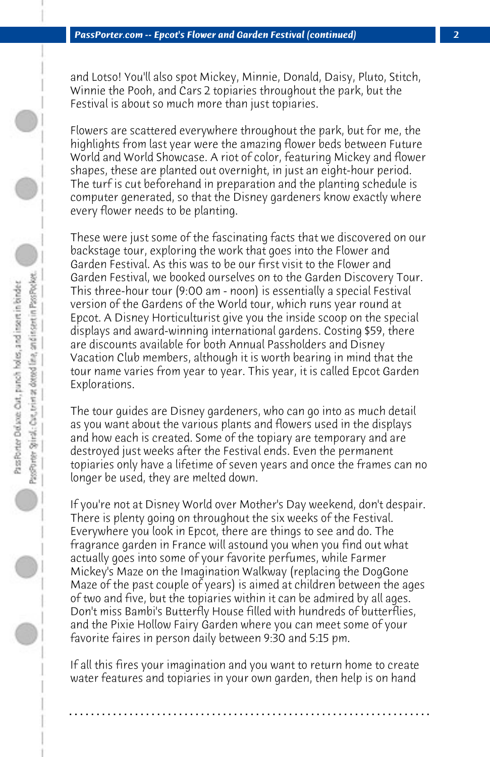and Lotso! You'll also spot Mickey, Minnie, Donald, Daisy, Pluto, Stitch, Winnie the Pooh, and Cars 2 topiaries throughout the park, but the Festival is about so much more than just topiaries.

Flowers are scattered everywhere throughout the park, but for me, the highlights from last year were the amazing flower beds between Future World and World Showcase. A riot of color, featuring Mickey and flower shapes, these are planted out overnight, in just an eight-hour period. The turf is cut beforehand in preparation and the planting schedule is computer generated, so that the Disney gardeners know exactly where every flower needs to be planting.

These were just some of the fascinating facts that we discovered on our backstage tour, exploring the work that goes into the Flower and Garden Festival. As this was to be our first visit to the Flower and Garden Festival, we booked ourselves on to the Garden Discovery Tour. This three-hour tour (9:00 am - noon) is essentially a special Festival version of the Gardens of the World tour, which runs year round at Epcot. A Disney Horticulturist give you the inside scoop on the special displays and award-winning international gardens. Costing \$59, there are discounts available for both Annual Passholders and Disney Vacation Club members, although it is worth bearing in mind that the tour name varies from year to year. This year, it is called Epcot Garden Explorations.

The tour guides are Disney gardeners, who can go into as much detail as you want about the various plants and flowers used in the displays and how each is created. Some of the topiary are temporary and are destroyed just weeks after the Festival ends. Even the permanent topiaries only have a lifetime of seven years and once the frames can no longer be used, they are melted down.

If you're not at Disney World over Mother's Day weekend, don't despair. There is plenty going on throughout the six weeks of the Festival. Everywhere you look in Epcot, there are things to see and do. The fragrance garden in France will astound you when you find out what actually goes into some of your favorite perfumes, while Farmer Mickey's Maze on the Imagination Walkway (replacing the DogGone Maze of the past couple of years) is aimed at children between the ages of two and five, but the topiaries within it can be admired by all ages. Don't miss Bambi's Butterfly House filled with hundreds of butterflies, and the Pixie Hollow Fairy Garden where you can meet some of your favorite faires in person daily between 9:30 and 5:15 pm.

If all this fires your imagination and you want to return home to create water features and topiaries in your own garden, then help is on hand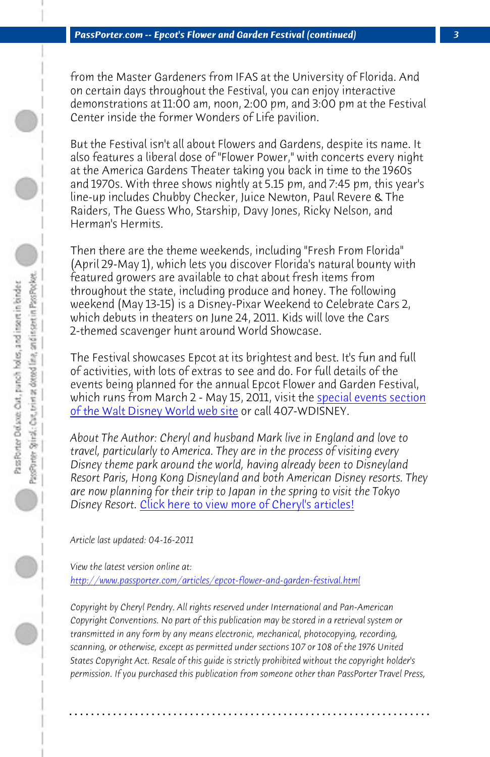*PassPorter.com -- Epcot's Flower and Garden Festival (continued) 3*

from the Master Gardeners from IFAS at the University of Florida. And on certain days throughout the Festival, you can enjoy interactive demonstrations at 11:00 am, noon, 2:00 pm, and 3:00 pm at the Festival Center inside the former Wonders of Life pavilion.

But the Festival isn't all about Flowers and Gardens, despite its name. It also features a liberal dose of "Flower Power," with concerts every night at the America Gardens Theater taking you back [in time to the 1960s](http://disneyworld.disney.go.com/parks/epcot/special-events/epcot-international-flower-and-garden-festival/) [and 1970s. With three shows night](http://disneyworld.disney.go.com/parks/epcot/special-events/epcot-international-flower-and-garden-festival/)ly at 5.15 pm, and 7:45 pm, this year's line-up includes Chubby Checker, Juice Newton, Paul Revere & The Raiders, The Guess Who, Starship, Davy Jones, Ricky Nelson, and Herman's Hermits.

Then there are the theme weekends, including "Fresh From Florida" (April 29-May 1), which lets you discover Florida's natural bounty with featured gro[wers are available to chat about fresh items f](http://www.passporter.com/articles/cheryl-pendry-featured-columnist.asp)rom throughout the state, including produce and honey. The following weekend (May 13-15) is a Disney-Pixar Weekend to Celebrate Cars 2, which debuts in theaters on June 24, 2011. Kids will love the Cars 2-themed scavenger hunt around World Showcase.

[The Festival showcases Epcot at its brightest and best. It's f](http://www.passporter.com/articles/epcot-flower-and-garden-festival.php)un and full of activities, with lots of extras to see and do. For full details of the events being planned for the annual Epcot Flower and Garden Festival, which runs from March 2 - May 15, 2011, visit the **special events section** of the Walt Disney World web site or call 407-WDISNEY.

*About The Author: Cheryl and husband Mark live in England and love to travel, particularly to America. They are in the process of visiting every Disney theme park around the world, having already been to Disneyland Resort Paris, Hong Kong Disneyland and both American Disney resorts. They are now planning for their trip to Japan in the spring to visit the Tokyo Disney Resort.* Click here to view more of Cheryl's articles!

*Article last updated: 04-16-2011*

*View the latest version online at:* 

*http://www.passporter.com/articles/epcot-flower-and-garden-festival.html*

*Copyright by Cheryl Pendry. All rights reserved under International and Pan-American Copyright Conventions. No part of this publication may be stored in a retrieval system or transmitted in any form by any means electronic, mechanical, photocopying, recording, scanning, or otherwise, except as permitted under sections 107 or 108 of the 1976 United States Copyright Act. Resale of this guide is strictly prohibited without the copyright holder's permission. If you purchased this publication from someone other than PassPorter Travel Press,*